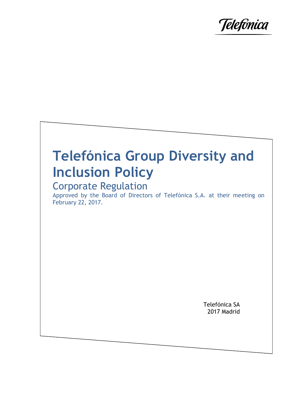

# **Telefónica Group Diversity and Inclusion Policy**

# Corporate Regulation

Approved by the Board of Directors of Telefónica S.A. at their meeting on February 22, 2017.

> Telefónica SA 2017 Madrid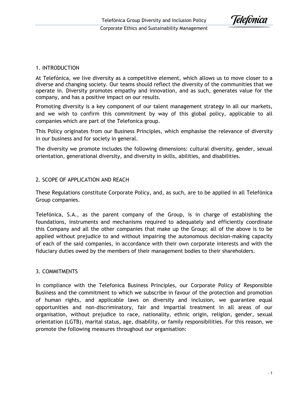Telefónica

# 1. INTRODUCTION

At Telefónica, we live diversity as a competitive element, which allows us to move closer to a diverse and changing society. Our teams should reflect the diversity of the communities that we operate in. Diversity promotes empathy and innovation, and as such, generates value for the company, and has a positive impact on our results.

Promoting diversity is a key component of our talent management strategy in all our markets, and we wish to confirm this commitment by way of this global policy, applicable to all companies which are part of the Telefonica group.

This Policy originates from our Business Principles, which emphasise the relevance of diversity in our business and for society in general.

The diversity we promote includes the following dimensions: cultural diversity, gender, sexual orientation, generational diversity, and diversity in skills, abilities, and disabilities.

# 2. SCOPE OF APPLICATION AND REACH

These Regulations constitute Corporate Policy, and, as such, are to be applied in all Telefónica Group companies.

Telefónica, S.A., as the parent company of the Group, is in charge of establishing the foundations, instruments and mechanisms required to adequately and efficiently coordinate this Company and all the other companies that make up the Group; all of the above is to be applied without prejudice to and without impairing the autonomous decision-making capacity of each of the said companies, in accordance with their own corporate interests and with the fiduciary duties owed by the members of their management bodies to their shareholders.

#### 3. COMMITMENTS

In compliance with the Telefonica Business Principles, our Corporate Policy of Responsible Business and the commitment to which we subscribe in favour of the protection and promotion of human rights, and applicable laws on diversity and inclusion, we guarantee equal opportunities and non-discriminatory, fair and impartial treatment in all areas of our organisation, without prejudice to race, nationality, ethnic origin, religion, gender, sexual orientation (LGTB), marital status, age, disability, or family responsibilities. For this reason, we promote the following measures throughout our organisation: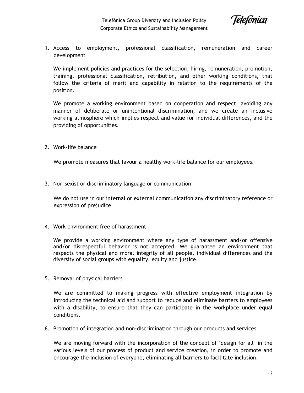

Corporate Ethics and Sustainability Management

1. Access to employment, professional classification, remuneration and career development

We implement policies and practices for the selection, hiring, remuneration, promotion, training, professional classification, retribution, and other working conditions, that follow the criteria of merit and capability in relation to the requirements of the position.

We promote a working environment based on cooperation and respect, avoiding any manner of deliberate or unintentional discrimination, and we create an inclusive working atmosphere which implies respect and value for individual differences, and the providing of opportunities.

2. Work-life balance

We promote measures that favour a healthy work-life balance for our employees.

3. Non-sexist or discriminatory language or communication

We do not use in our internal or external communication any discriminatory reference or expression of prejudice.

4. Work environment free of harassment

We provide a working environment where any type of harassment and/or offensive and/or disrespectful behavior is not accepted. We guarantee an environment that respects the physical and moral integrity of all people, individual differences and the diversity of social groups with equality, equity and justice.

5. Removal of physical barriers

We are committed to making progress with effective employment integration by introducing the technical aid and support to reduce and eliminate barriers to employees with a disability, to ensure that they can participate in the workplace under equal conditions.

6. Promotion of integration and non-discrimination through our products and services

We are moving forward with the incorporation of the concept of "design for all" in the various levels of our process of product and service creation, in order to promote and encourage the inclusion of everyone, eliminating all barriers to facilitate inclusion.